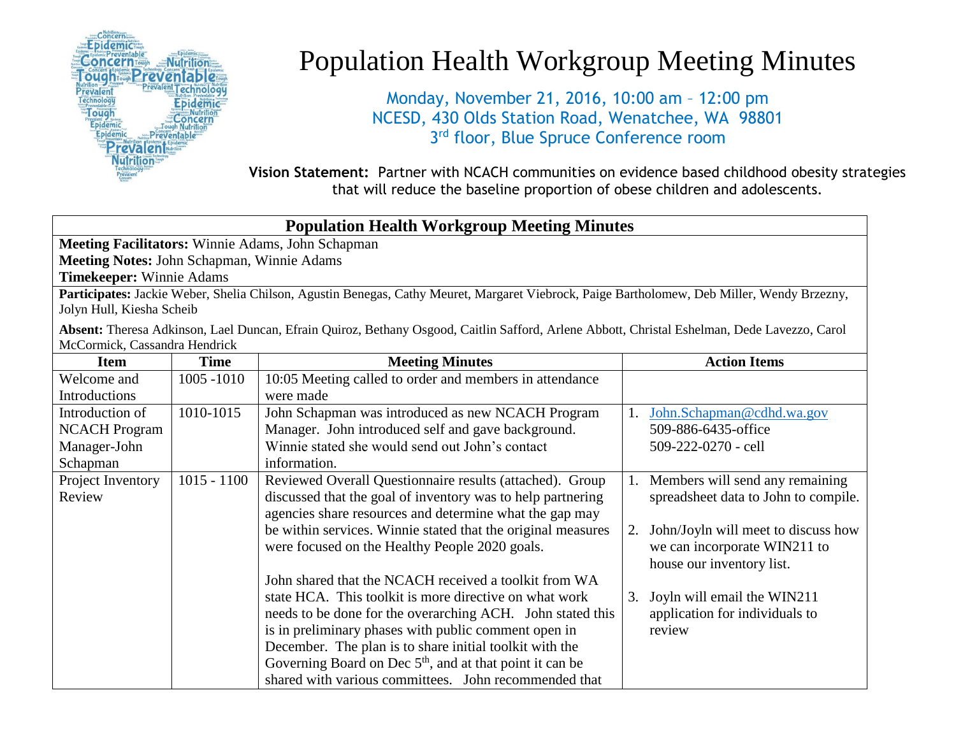

## Population Health Workgroup Meeting Minutes

Monday, November 21, 2016, 10:00 am – 12:00 pm NCESD, 430 Olds Station Road, Wenatchee, WA 98801 3<sup>rd</sup> floor, Blue Spruce Conference room

**Vision Statement:** Partner with NCACH communities on evidence based childhood obesity strategies that will reduce the baseline proportion of obese children and adolescents.

## **Population Health Workgroup Meeting Minutes Meeting Facilitators:** Winnie Adams, John Schapman **Meeting Notes:** John Schapman, Winnie Adams **Timekeeper:** Winnie Adams **Participates:** Jackie Weber, Shelia Chilson, Agustin Benegas, Cathy Meuret, Margaret Viebrock, Paige Bartholomew, Deb Miller, Wendy Brzezny, Jolyn Hull, Kiesha Scheib

**Absent:** Theresa Adkinson, Lael Duncan, Efrain Quiroz, Bethany Osgood, Caitlin Safford, Arlene Abbott, Christal Eshelman, Dede Lavezzo, Carol McCormick, Cassandra Hendrick

| <b>Item</b>          | <b>Time</b>   | <b>Meeting Minutes</b>                                       | <b>Action Items</b>                       |
|----------------------|---------------|--------------------------------------------------------------|-------------------------------------------|
| Welcome and          | 1005 -1010    | 10:05 Meeting called to order and members in attendance      |                                           |
| Introductions        |               | were made                                                    |                                           |
| Introduction of      | 1010-1015     | John Schapman was introduced as new NCACH Program            | John.Schapman@cdhd.wa.gov                 |
| <b>NCACH Program</b> |               | Manager. John introduced self and gave background.           | 509-886-6435-office                       |
| Manager-John         |               | Winnie stated she would send out John's contact              | 509-222-0270 - cell                       |
| Schapman             |               | information.                                                 |                                           |
| Project Inventory    | $1015 - 1100$ | Reviewed Overall Questionnaire results (attached). Group     | Members will send any remaining           |
| Review               |               | discussed that the goal of inventory was to help partnering  | spreadsheet data to John to compile.      |
|                      |               | agencies share resources and determine what the gap may      |                                           |
|                      |               | be within services. Winnie stated that the original measures | John/Joyln will meet to discuss how<br>2. |
|                      |               | were focused on the Healthy People 2020 goals.               | we can incorporate WIN211 to              |
|                      |               |                                                              | house our inventory list.                 |
|                      |               | John shared that the NCACH received a toolkit from WA        |                                           |
|                      |               | state HCA. This toolkit is more directive on what work       | Joyln will email the WIN211<br>3.         |
|                      |               | needs to be done for the overarching ACH. John stated this   | application for individuals to            |
|                      |               | is in preliminary phases with public comment open in         | review                                    |
|                      |               | December. The plan is to share initial toolkit with the      |                                           |
|                      |               | Governing Board on Dec $5th$ , and at that point it can be   |                                           |
|                      |               | shared with various committees. John recommended that        |                                           |